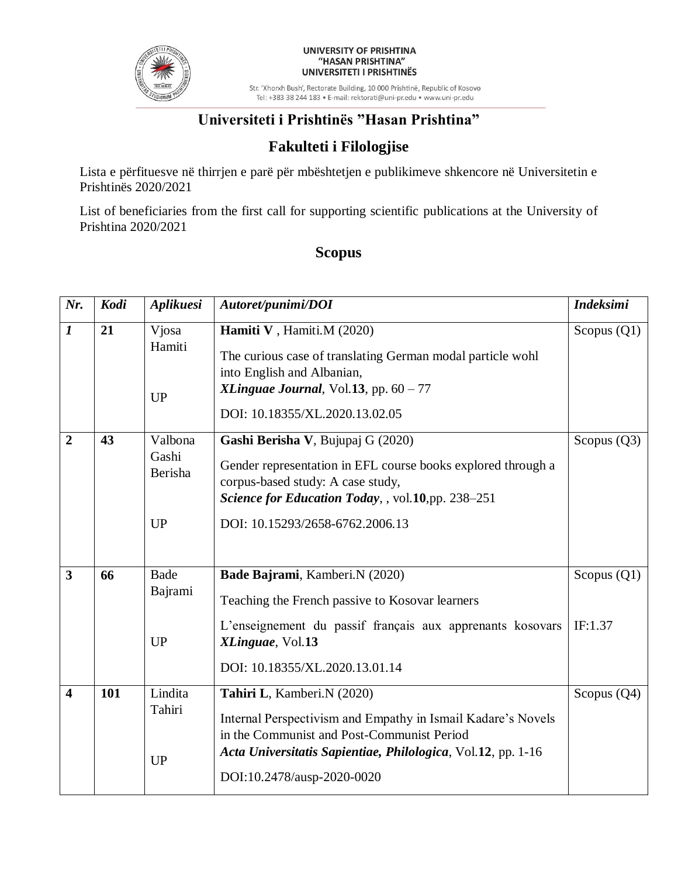

#### UNIVERSITY OF PRISHTINA "HASAN PRISHTINA" UNIVERSITETI I PRISHTINËS

Str. 'Xhorxh Bush', Rectorate Building, 10 000 Prishtinë, Republic of Kosovo Tel: +383 38 244 183 · E-mail: rektorati@uni-pr.edu · www.uni-pr.edu

# **Universiteti i Prishtinës "Hasan Prishtina"**

## **Fakulteti i Filologjise**

Lista e përfituesve në thirrjen e parë për mbështetjen e publikimeve shkencore në Universitetin e Prishtinës 2020/2021

List of beneficiaries from the first call for supporting scientific publications at the University of Prishtina 2020/2021

#### **Scopus**

| Nr.                     | Kodi | Aplikuesi                                | Autoret/punimi/DOI                                                                                                                                                                                                                     | <b>Indeksimi</b>         |
|-------------------------|------|------------------------------------------|----------------------------------------------------------------------------------------------------------------------------------------------------------------------------------------------------------------------------------------|--------------------------|
| $\boldsymbol{l}$        | 21   | Vjosa<br>Hamiti<br><b>UP</b>             | Hamiti V, Hamiti.M (2020)<br>The curious case of translating German modal particle wohl<br>into English and Albanian,<br>XLinguae Journal, Vol.13, pp. $60 - 77$<br>DOI: 10.18355/XL.2020.13.02.05                                     | Scopus $(Q1)$            |
| $\overline{2}$          | 43   | Valbona<br>Gashi<br>Berisha<br><b>UP</b> | Gashi Berisha V, Bujupaj G (2020)<br>Gender representation in EFL course books explored through a<br>corpus-based study: A case study,<br>Science for Education Today, , vol.10,pp. 238-251<br>DOI: 10.15293/2658-6762.2006.13         | Scopus $(Q3)$            |
| $\overline{\mathbf{3}}$ | 66   | <b>Bade</b><br>Bajrami<br><b>UP</b>      | Bade Bajrami, Kamberi.N (2020)<br>Teaching the French passive to Kosovar learners<br>L'enseignement du passif français aux apprenants kosovars<br>XLinguae, Vol.13<br>DOI: 10.18355/XL.2020.13.01.14                                   | Scopus $(Q1)$<br>IF:1.37 |
| $\overline{\mathbf{4}}$ | 101  | Lindita<br>Tahiri<br><b>UP</b>           | Tahiri L, Kamberi.N (2020)<br>Internal Perspectivism and Empathy in Ismail Kadare's Novels<br>in the Communist and Post-Communist Period<br>Acta Universitatis Sapientiae, Philologica, Vol.12, pp. 1-16<br>DOI:10.2478/ausp-2020-0020 | Scopus $(Q4)$            |